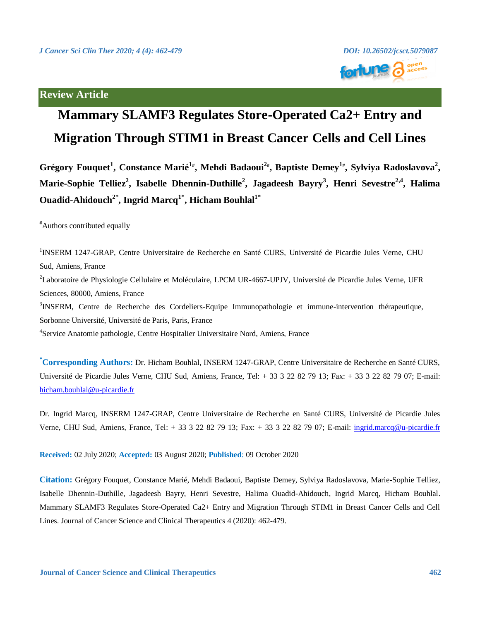# **Review Article**





# **Mammary SLAMF3 Regulates Store-Operated Ca2+ Entry and Migration Through STIM1 in Breast Cancer Cells and Cell Lines**

Grégory Fouquet<sup>1</sup>, Constance Marié<sup>1#</sup>, Mehdi Badaoui<sup>2#</sup>, Baptiste Demey<sup>1#</sup>, Sylviya Radoslavova<sup>2</sup>, **Marie-Sophie Telliez<sup>2</sup> , Isabelle Dhennin-Duthille<sup>2</sup> , Jagadeesh Bayry<sup>3</sup> , Henri Sevestre2,4, Halima Ouadid-Ahidouch2\* , Ingrid Marcq1\* , Hicham Bouhlal1\***

**#**Authors contributed equally

<sup>1</sup>INSERM 1247-GRAP, Centre Universitaire de Recherche en Santé CURS, Université de Picardie Jules Verne, CHU Sud, Amiens, France <sup>2</sup>Laboratoire de Physiologie Cellulaire et Moléculaire, LPCM UR-4667-UPJV, Université de Picardie Jules Verne, UFR Sciences, 80000, Amiens, France <sup>3</sup>INSERM, Centre de Recherche des Cordeliers-Equipe Immunopathologie et immune-intervention thérapeutique, Sorbonne Université, Université de Paris, Paris, France 4 Service Anatomie pathologie, Centre Hospitalier Universitaire Nord, Amiens, France

**\*Corresponding Authors:** Dr. Hicham Bouhlal, INSERM 1247-GRAP, Centre Universitaire de Recherche en Santé CURS, Université de Picardie Jules Verne, CHU Sud, Amiens, France, Tel: + 33 3 22 82 79 13; Fax: + 33 3 22 82 79 07; E-mail: [hicham.bouhlal@u-picardie.fr](mailto:hicham.bouhlal@u-picardie.fr)

Dr. Ingrid Marcq, INSERM 1247-GRAP, Centre Universitaire de Recherche en Santé CURS, Université de Picardie Jules Verne, CHU Sud, Amiens, France, Tel: + 33 3 22 82 79 13; Fax: + 33 3 22 82 79 07; E-mail: [ingrid.marcq@u-picardie.fr](mailto:ingrid.marcq@u-picardie.fr)

**Received:** 02 July 2020; **Accepted:** 03 August 2020; **Published**: 09 October 2020

**Citation:** Grégory Fouquet, Constance Marié, Mehdi Badaoui, Baptiste Demey, Sylviya Radoslavova, Marie-Sophie Telliez, Isabelle Dhennin-Duthille, Jagadeesh Bayry, Henri Sevestre, Halima Ouadid-Ahidouch, Ingrid Marcq, Hicham Bouhlal. Mammary SLAMF3 Regulates Store-Operated Ca2+ Entry and Migration Through STIM1 in Breast Cancer Cells and Cell Lines. Journal of Cancer Science and Clinical Therapeutics 4 (2020): 462-479.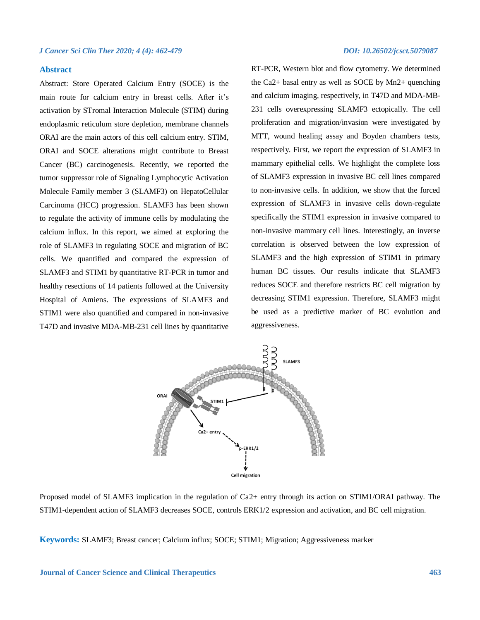#### **Abstract**

Abstract: Store Operated Calcium Entry (SOCE) is the main route for calcium entry in breast cells. After it's activation by STromal Interaction Molecule (STIM) during endoplasmic reticulum store depletion, membrane channels ORAI are the main actors of this cell calcium entry. STIM, ORAI and SOCE alterations might contribute to Breast Cancer (BC) carcinogenesis. Recently, we reported the tumor suppressor role of Signaling Lymphocytic Activation Molecule Family member 3 (SLAMF3) on HepatoCellular Carcinoma (HCC) progression. SLAMF3 has been shown to regulate the activity of immune cells by modulating the calcium influx. In this report, we aimed at exploring the role of SLAMF3 in regulating SOCE and migration of BC cells. We quantified and compared the expression of SLAMF3 and STIM1 by quantitative RT-PCR in tumor and healthy resections of 14 patients followed at the University Hospital of Amiens. The expressions of SLAMF3 and STIM1 were also quantified and compared in non-invasive T47D and invasive MDA-MB-231 cell lines by quantitative

RT-PCR, Western blot and flow cytometry. We determined the Ca2+ basal entry as well as SOCE by Mn2+ quenching and calcium imaging, respectively, in T47D and MDA-MB-231 cells overexpressing SLAMF3 ectopically. The cell proliferation and migration/invasion were investigated by MTT, wound healing assay and Boyden chambers tests, respectively. First, we report the expression of SLAMF3 in mammary epithelial cells. We highlight the complete loss of SLAMF3 expression in invasive BC cell lines compared to non-invasive cells. In addition, we show that the forced expression of SLAMF3 in invasive cells down-regulate specifically the STIM1 expression in invasive compared to non-invasive mammary cell lines. Interestingly, an inverse correlation is observed between the low expression of SLAMF3 and the high expression of STIM1 in primary human BC tissues. Our results indicate that SLAMF3 reduces SOCE and therefore restricts BC cell migration by decreasing STIM1 expression. Therefore, SLAMF3 might be used as a predictive marker of BC evolution and aggressiveness.



Proposed model of SLAMF3 implication in the regulation of Ca2+ entry through its action on STIM1/ORAI pathway. The STIM1-dependent action of SLAMF3 decreases SOCE, controls ERK1/2 expression and activation, and BC cell migration.

**Keywords:** SLAMF3; Breast cancer; Calcium influx; SOCE; STIM1; Migration; Aggressiveness marker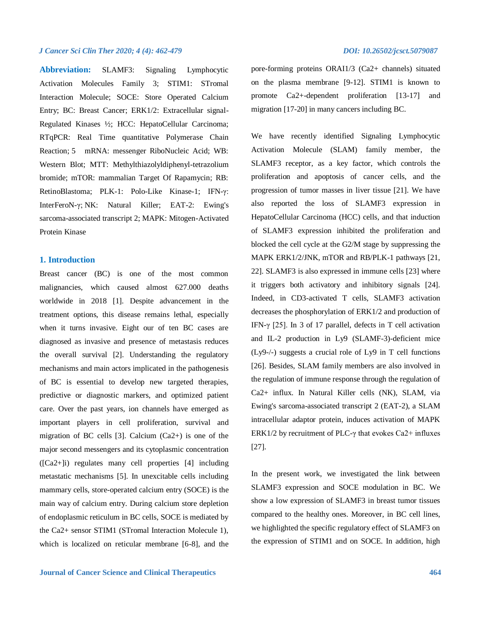**Abbreviation:** SLAMF3: Signaling Lymphocytic Activation Molecules Family 3; STIM1: STromal Interaction Molecule; SOCE: Store Operated Calcium Entry; BC: Breast Cancer; ERK1/2: Extracellular signal-Regulated Kinases ½; HCC: HepatoCellular Carcinoma; RTqPCR: Real Time quantitative Polymerase Chain Reaction; 5 mRNA: messenger RiboNucleic Acid; WB: Western Blot; MTT: Methylthiazolyldiphenyl-tetrazolium bromide; mTOR: mammalian Target Of Rapamycin; RB: RetinoBlastoma; PLK-1: Polo-Like Kinase-1; IFN-γ: InterFeroN-γ; NK: Natural Killer; EAT-2: Ewing's sarcoma-associated transcript 2; MAPK: Mitogen-Activated Protein Kinase

### **1. Introduction**

Breast cancer (BC) is one of the most common malignancies, which caused almost 627.000 deaths worldwide in 2018 [1]. Despite advancement in the treatment options, this disease remains lethal, especially when it turns invasive. Eight our of ten BC cases are diagnosed as invasive and presence of metastasis reduces the overall survival [2]. Understanding the regulatory mechanisms and main actors implicated in the pathogenesis of BC is essential to develop new targeted therapies, predictive or diagnostic markers, and optimized patient care. Over the past years, ion channels have emerged as important players in cell proliferation, survival and migration of BC cells [3]. Calcium (Ca2+) is one of the major second messengers and its cytoplasmic concentration ([Ca2+]i) regulates many cell properties [4] including metastatic mechanisms [5]. In unexcitable cells including mammary cells, store-operated calcium entry (SOCE) is the main way of calcium entry. During calcium store depletion of endoplasmic reticulum in BC cells, SOCE is mediated by the Ca2+ sensor STIM1 (STromal Interaction Molecule 1), which is localized on reticular membrane [6-8], and the pore-forming proteins ORAI1/3 (Ca2+ channels) situated on the plasma membrane [9-12]. STIM1 is known to promote Ca2+-dependent proliferation [13-17] and migration [17-20] in many cancers including BC.

We have recently identified Signaling Lymphocytic Activation Molecule (SLAM) family member, the SLAMF3 receptor, as a key factor, which controls the proliferation and apoptosis of cancer cells, and the progression of tumor masses in liver tissue [21]. We have also reported the loss of SLAMF3 expression in HepatoCellular Carcinoma (HCC) cells, and that induction of SLAMF3 expression inhibited the proliferation and blocked the cell cycle at the G2/M stage by suppressing the MAPK ERK1/2/JNK, mTOR and RB/PLK-1 pathways [21, 22]. SLAMF3 is also expressed in immune cells [23] where it triggers both activatory and inhibitory signals [24]. Indeed, in CD3-activated T cells, SLAMF3 activation decreases the phosphorylation of ERK1/2 and production of IFN-γ [25]. In 3 of 17 parallel, defects in T cell activation and IL-2 production in Ly9 (SLAMF-3)-deficient mice (Ly9-/-) suggests a crucial role of Ly9 in T cell functions [26]. Besides, SLAM family members are also involved in the regulation of immune response through the regulation of Ca2+ influx. In Natural Killer cells (NK), SLAM, via Ewing's sarcoma-associated transcript 2 (EAT-2), a SLAM intracellular adaptor protein, induces activation of MAPK ERK1/2 by recruitment of PLC- $\gamma$  that evokes Ca2+ influxes [27].

In the present work, we investigated the link between SLAMF3 expression and SOCE modulation in BC. We show a low expression of SLAMF3 in breast tumor tissues compared to the healthy ones. Moreover, in BC cell lines, we highlighted the specific regulatory effect of SLAMF3 on the expression of STIM1 and on SOCE. In addition, high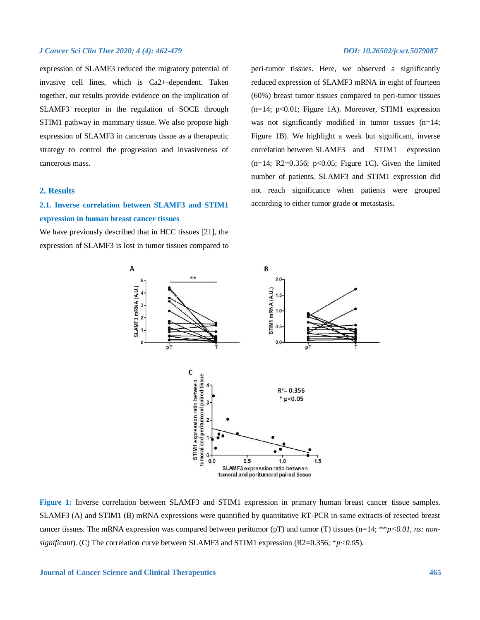expression of SLAMF3 reduced the migratory potential of invasive cell lines, which is Ca2+-dependent. Taken together, our results provide evidence on the implication of SLAMF3 receptor in the regulation of SOCE through STIM1 pathway in mammary tissue. We also propose high expression of SLAMF3 in cancerous tissue as a therapeutic strategy to control the progression and invasiveness of cancerous mass.

### **2. Results**

# **2.1. Inverse correlation between SLAMF3 and STIM1 expression in human breast cancer tissues**

We have previously described that in HCC tissues [21], the expression of SLAMF3 is lost in tumor tissues compared to

peri-tumor tissues. Here, we observed a significantly reduced expression of SLAMF3 mRNA in eight of fourteen (60%) breast tumor tissues compared to peri-tumor tissues  $(n=14; p<0.01;$  Figure 1A). Moreover, STIM1 expression was not significantly modified in tumor tissues (n=14; Figure 1B). We highlight a weak but significant, inverse correlation between SLAMF3 and STIM1 expression  $(n=14; R2=0.356; p<0.05; Figure 1C)$ . Given the limited number of patients, SLAMF3 and STIM1 expression did not reach significance when patients were grouped according to either tumor grade or metastasis.



**Figure 1:** Inverse correlation between SLAMF3 and STIM1 expression in primary human breast cancer tissue samples. SLAMF3 (A) and STIM1 (B) mRNA expressions were quantified by quantitative RT-PCR in same extracts of resected breast cancer tissues. The mRNA expression was compared between peritumor (pT) and tumor (T) tissues (n=14; \*\**p<0.01, ns: nonsignificant*). (C) The correlation curve between SLAMF3 and STIM1 expression (R2=0.356; \**p<0.05*).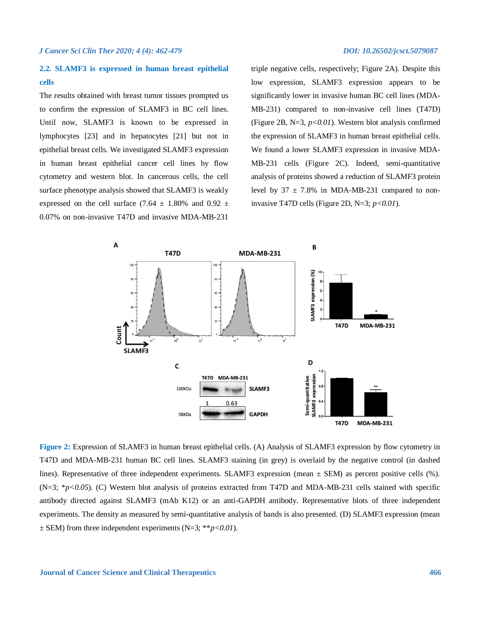# **2.2. SLAMF3 is expressed in human breast epithelial cells**

The results obtained with breast tumor tissues prompted us to confirm the expression of SLAMF3 in BC cell lines. Until now, SLAMF3 is known to be expressed in lymphocytes [23] and in hepatocytes [21] but not in epithelial breast cells. We investigated SLAMF3 expression in human breast epithelial cancer cell lines by flow cytometry and western blot. In cancerous cells, the cell surface phenotype analysis showed that SLAMF3 is weakly expressed on the cell surface (7.64  $\pm$  1.80% and 0.92  $\pm$ 0.07% on non-invasive T47D and invasive MDA-MB-231

triple negative cells, respectively; Figure 2A). Despite this low expression, SLAMF3 expression appears to be significantly lower in invasive human BC cell lines (MDA-MB-231) compared to non-invasive cell lines (T47D) (Figure 2B, N=3, *p<0.01*). Western blot analysis confirmed the expression of SLAMF3 in human breast epithelial cells. We found a lower SLAMF3 expression in invasive MDA-MB-231 cells (Figure 2C). Indeed, semi-quantitative analysis of proteins showed a reduction of SLAMF3 protein level by  $37 \pm 7.8\%$  in MDA-MB-231 compared to noninvasive T47D cells (Figure 2D,  $N=3$ ;  $p<0.01$ ).



**Figure 2:** Expression of SLAMF3 in human breast epithelial cells. (A) Analysis of SLAMF3 expression by flow cytometry in T47D and MDA-MB-231 human BC cell lines. SLAMF3 staining (in grey) is overlaid by the negative control (in dashed lines). Representative of three independent experiments. SLAMF3 expression (mean ± SEM) as percent positive cells (%). (N=3; \**p<0.05*). (C) Western blot analysis of proteins extracted from T47D and MDA-MB-231 cells stained with specific antibody directed against SLAMF3 (mAb K12) or an anti-GAPDH antibody. Representative blots of three independent experiments. The density as measured by semi-quantitative analysis of bands is also presented. (D) SLAMF3 expression (mean  $\pm$  SEM) from three independent experiments (N=3; \*\**p<0.01*).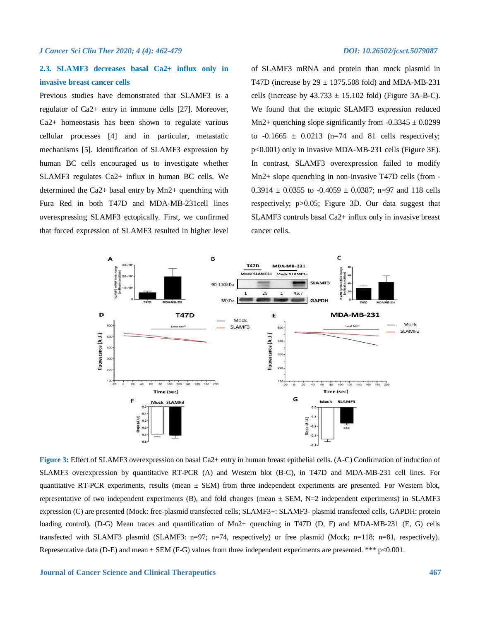# **2.3. SLAMF3 decreases basal Ca2+ influx only in invasive breast cancer cells**

Previous studies have demonstrated that SLAMF3 is a regulator of Ca2+ entry in immune cells [27]. Moreover, Ca2+ homeostasis has been shown to regulate various cellular processes [4] and in particular, metastatic mechanisms [5]. Identification of SLAMF3 expression by human BC cells encouraged us to investigate whether SLAMF3 regulates Ca2+ influx in human BC cells. We determined the Ca2+ basal entry by Mn2+ quenching with Fura Red in both T47D and MDA-MB-231cell lines overexpressing SLAMF3 ectopically. First, we confirmed that forced expression of SLAMF3 resulted in higher level

of SLAMF3 mRNA and protein than mock plasmid in T47D (increase by  $29 \pm 1375.508$  fold) and MDA-MB-231 cells (increase by  $43.733 \pm 15.102$  fold) (Figure 3A-B-C). We found that the ectopic SLAMF3 expression reduced Mn2+ quenching slope significantly from  $-0.3345 \pm 0.0299$ to  $-0.1665 \pm 0.0213$  (n=74 and 81 cells respectively; p<0.001) only in invasive MDA-MB-231 cells (Figure 3E). In contrast, SLAMF3 overexpression failed to modify Mn2+ slope quenching in non-invasive T47D cells (from - 0.3914  $\pm$  0.0355 to -0.4059  $\pm$  0.0387; n=97 and 118 cells respectively; p>0.05; Figure 3D. Our data suggest that SLAMF3 controls basal Ca2+ influx only in invasive breast cancer cells.



**Figure 3:** Effect of SLAMF3 overexpression on basal Ca2+ entry in human breast epithelial cells. (A-C) Confirmation of induction of SLAMF3 overexpression by quantitative RT-PCR (A) and Western blot (B-C), in T47D and MDA-MB-231 cell lines. For quantitative RT-PCR experiments, results (mean  $\pm$  SEM) from three independent experiments are presented. For Western blot, representative of two independent experiments (B), and fold changes (mean  $\pm$  SEM, N=2 independent experiments) in SLAMF3 expression (C) are presented (Mock: free-plasmid transfected cells; SLAMF3+: SLAMF3- plasmid transfected cells, GAPDH: protein loading control). (D-G) Mean traces and quantification of Mn2+ quenching in T47D (D, F) and MDA-MB-231 (E, G) cells transfected with SLAMF3 plasmid (SLAMF3: n=97; n=74, respectively) or free plasmid (Mock; n=118; n=81, respectively). Representative data (D-E) and mean ± SEM (F-G) values from three independent experiments are presented. \*\*\* p<0.001.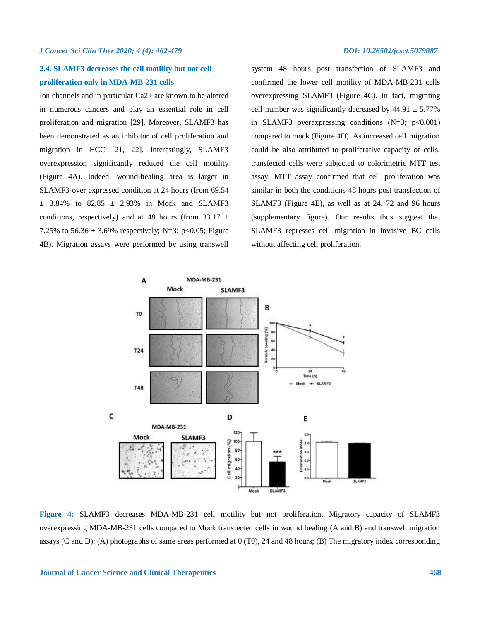# **2.4. SLAMF3 decreases the cell motility but not cell proliferation only in MDA-MB-231 cells**

Ion channels and in particular Ca2+ are known to be altered in numerous cancers and play an essential role in cell proliferation and migration [29]. Moreover, SLAMF3 has been demonstrated as an inhibitor of cell proliferation and migration in HCC [21, 22]. Interestingly, SLAMF3 overexpression significantly reduced the cell motility (Figure 4A). Indeed, wound-healing area is larger in SLAMF3-over expressed condition at 24 hours (from 69.54  $\pm$  3.84% to 82.85  $\pm$  2.93% in Mock and SLAMF3 conditions, respectively) and at 48 hours (from  $33.17 \pm$ 7.25% to 56.36  $\pm$  3.69% respectively; N=3; p<0.05; Figure 4B). Migration assays were performed by using transwell

system 48 hours post transfection of SLAMF3 and confirmed the lower cell motility of MDA-MB-231 cells overexpressing SLAMF3 (Figure 4C). In fact, migrating cell number was significantly decreased by  $44.91 \pm 5.77\%$ in SLAMF3 overexpressing conditions  $(N=3; p<0.001)$ compared to mock (Figure 4D). As increased cell migration could be also attributed to proliferative capacity of cells, transfected cells were subjected to colorimetric MTT test assay. MTT assay confirmed that cell proliferation was similar in both the conditions 48 hours post transfection of SLAMF3 (Figure 4E), as well as at 24, 72 and 96 hours (supplementary figure). Our results thus suggest that SLAMF3 represses cell migration in invasive BC cells without affecting cell proliferation.



**Figure 4:** SLAMF3 decreases MDA-MB-231 cell motility but not proliferation. Migratory capacity of SLAMF3 overexpressing MDA-MB-231 cells compared to Mock transfected cells in wound healing (A and B) and transwell migration assays (C and D): (A) photographs of same areas performed at  $0$  (T0), 24 and 48 hours; (B) The migratory index corresponding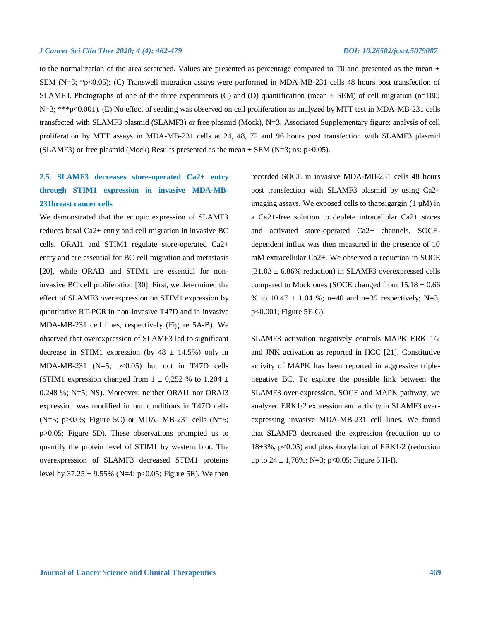to the normalization of the area scratched. Values are presented as percentage compared to T0 and presented as the mean  $\pm$ SEM (N=3; \*p<0.05); (C) Transwell migration assays were performed in MDA-MB-231 cells 48 hours post transfection of SLAMF3. Photographs of one of the three experiments (C) and (D) quantification (mean  $\pm$  SEM) of cell migration (n=180; N=3; \*\*\*p<0.001). (E) No effect of seeding was observed on cell proliferation as analyzed by MTT test in MDA-MB-231 cells transfected with SLAMF3 plasmid (SLAMF3) or free plasmid (Mock), N=3. Associated Supplementary figure: analysis of cell proliferation by MTT assays in MDA-MB-231 cells at 24, 48, 72 and 96 hours post transfection with SLAMF3 plasmid (SLAMF3) or free plasmid (Mock) Results presented as the mean  $\pm$  SEM (N=3; ns: p>0.05).

# **2.5. SLAMF3 decreases store-operated Ca2+ entry through STIM1 expression in invasive MDA-MB-231breast cancer cells**

We demonstrated that the ectopic expression of SLAMF3 reduces basal Ca2+ entry and cell migration in invasive BC cells. ORAI1 and STIM1 regulate store-operated Ca2+ entry and are essential for BC cell migration and metastasis [20], while ORAI3 and STIM1 are essential for noninvasive BC cell proliferation [30]. First, we determined the effect of SLAMF3 overexpression on STIM1 expression by quantitative RT-PCR in non-invasive T47D and in invasive MDA-MB-231 cell lines, respectively (Figure 5A-B). We observed that overexpression of SLAMF3 led to significant decrease in STIM1 expression (by  $48 \pm 14.5\%$ ) only in MDA-MB-231 ( $N=5$ ;  $p<0.05$ ) but not in T47D cells (STIM1 expression changed from  $1 \pm 0.252$  % to 1.204  $\pm$ 0.248 %; N=5; NS). Moreover, neither ORAI1 nor ORAI3 expression was modified in our conditions in T47D cells  $(N=5; p>0.05; Figure 5C)$  or MDA-MB-231 cells  $(N=5;$ p>0.05; Figure 5D). These observations prompted us to quantify the protein level of STIM1 by western blot. The overexpression of SLAMF3 decreased STIM1 proteins level by  $37.25 \pm 9.55\%$  (N=4; p<0.05; Figure 5E). We then

recorded SOCE in invasive MDA-MB-231 cells 48 hours post transfection with SLAMF3 plasmid by using Ca2+ imaging assays. We exposed cells to thapsigargin  $(1 \mu M)$  in a Ca2+-free solution to deplete intracellular Ca2+ stores and activated store-operated Ca2+ channels. SOCEdependent influx was then measured in the presence of 10 mM extracellular Ca2+. We observed a reduction in SOCE  $(31.03 \pm 6.86\%$  reduction) in SLAMF3 overexpressed cells compared to Mock ones (SOCE changed from  $15.18 \pm 0.66$ ) % to  $10.47 \pm 1.04$  %; n=40 and n=39 respectively; N=3; p<0.001; Figure 5F-G).

SLAMF3 activation negatively controls MAPK ERK 1/2 and JNK activation as reported in HCC [21]. Constitutive activity of MAPK has been reported in aggressive triplenegative BC. To explore the possible link between the SLAMF3 over-expression, SOCE and MAPK pathway, we analyzed ERK1/2 expression and activity in SLAMF3 overexpressing invasive MDA-MB-231 cell lines. We found that SLAMF3 decreased the expression (reduction up to  $18\pm3\%$ , p<0.05) and phosphorylation of ERK1/2 (reduction up to  $24 \pm 1,76\%$ ; N=3; p<0.05; Figure 5 H-I).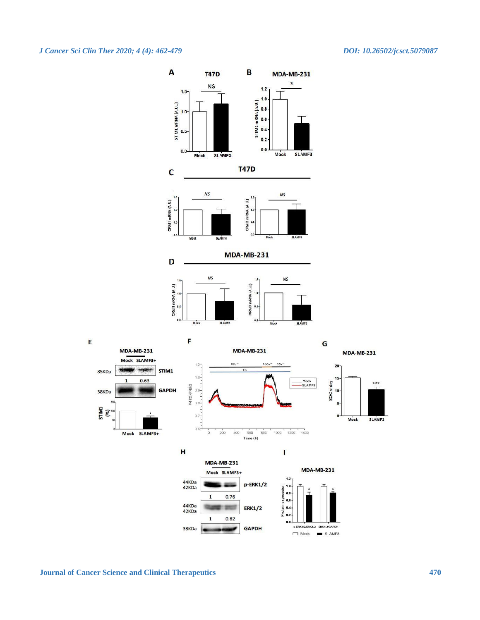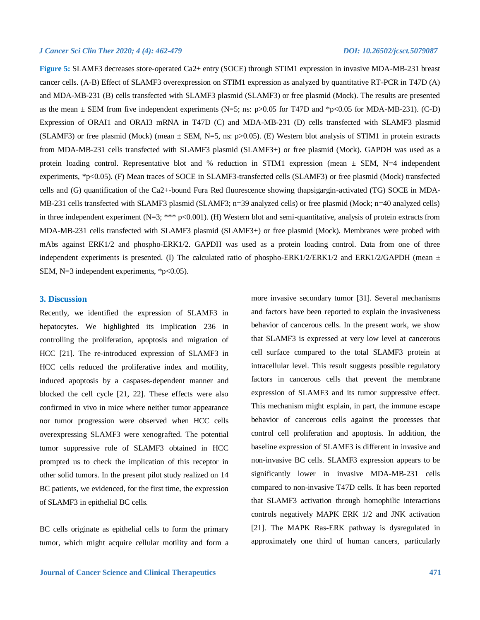**Figure 5:** SLAMF3 decreases store-operated Ca2+ entry (SOCE) through STIM1 expression in invasive MDA-MB-231 breast cancer cells. (A-B) Effect of SLAMF3 overexpression on STIM1 expression as analyzed by quantitative RT-PCR in T47D (A) and MDA-MB-231 (B) cells transfected with SLAMF3 plasmid (SLAMF3) or free plasmid (Mock). The results are presented as the mean  $\pm$  SEM from five independent experiments (N=5; ns:  $p>0.05$  for T47D and \*p<0.05 for MDA-MB-231). (C-D) Expression of ORAI1 and ORAI3 mRNA in T47D (C) and MDA-MB-231 (D) cells transfected with SLAMF3 plasmid (SLAMF3) or free plasmid (Mock) (mean  $\pm$  SEM, N=5, ns: p>0.05). (E) Western blot analysis of STIM1 in protein extracts from MDA-MB-231 cells transfected with SLAMF3 plasmid (SLAMF3+) or free plasmid (Mock). GAPDH was used as a protein loading control. Representative blot and % reduction in STIM1 expression (mean  $\pm$  SEM, N=4 independent experiments, \*p<0.05). (F) Mean traces of SOCE in SLAMF3-transfected cells (SLAMF3) or free plasmid (Mock) transfected cells and (G) quantification of the Ca2+-bound Fura Red fluorescence showing thapsigargin-activated (TG) SOCE in MDA-MB-231 cells transfected with SLAMF3 plasmid (SLAMF3; n=39 analyzed cells) or free plasmid (Mock; n=40 analyzed cells) in three independent experiment  $(N=3; **p<0.001)$ . (H) Western blot and semi-quantitative, analysis of protein extracts from MDA-MB-231 cells transfected with SLAMF3 plasmid (SLAMF3+) or free plasmid (Mock). Membranes were probed with mAbs against ERK1/2 and phospho-ERK1/2. GAPDH was used as a protein loading control. Data from one of three independent experiments is presented. (I) The calculated ratio of phospho-ERK1/2/ERK1/2 and ERK1/2/GAPDH (mean  $\pm$ SEM, N=3 independent experiments, \*p<0.05).

### **3. Discussion**

Recently, we identified the expression of SLAMF3 in hepatocytes. We highlighted its implication 236 in controlling the proliferation, apoptosis and migration of HCC [21]. The re-introduced expression of SLAMF3 in HCC cells reduced the proliferative index and motility, induced apoptosis by a caspases-dependent manner and blocked the cell cycle [21, 22]. These effects were also confirmed in vivo in mice where neither tumor appearance nor tumor progression were observed when HCC cells overexpressing SLAMF3 were xenografted. The potential tumor suppressive role of SLAMF3 obtained in HCC prompted us to check the implication of this receptor in other solid tumors. In the present pilot study realized on 14 BC patients, we evidenced, for the first time, the expression of SLAMF3 in epithelial BC cells.

BC cells originate as epithelial cells to form the primary tumor, which might acquire cellular motility and form a more invasive secondary tumor [31]. Several mechanisms and factors have been reported to explain the invasiveness behavior of cancerous cells. In the present work, we show that SLAMF3 is expressed at very low level at cancerous cell surface compared to the total SLAMF3 protein at intracellular level. This result suggests possible regulatory factors in cancerous cells that prevent the membrane expression of SLAMF3 and its tumor suppressive effect. This mechanism might explain, in part, the immune escape behavior of cancerous cells against the processes that control cell proliferation and apoptosis. In addition, the baseline expression of SLAMF3 is different in invasive and non-invasive BC cells. SLAMF3 expression appears to be significantly lower in invasive MDA-MB-231 cells compared to non-invasive T47D cells. It has been reported that SLAMF3 activation through homophilic interactions controls negatively MAPK ERK 1/2 and JNK activation [21]. The MAPK Ras-ERK pathway is dysregulated in approximately one third of human cancers, particularly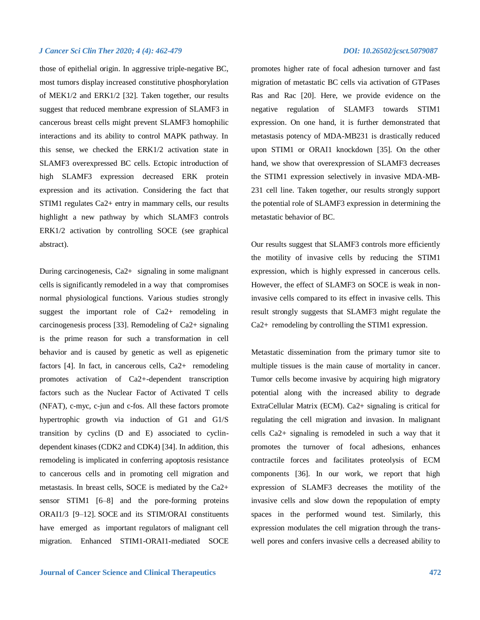those of epithelial origin. In aggressive triple-negative BC, most tumors display increased constitutive phosphorylation of MEK1/2 and ERK1/2 [32]. Taken together, our results suggest that reduced membrane expression of SLAMF3 in cancerous breast cells might prevent SLAMF3 homophilic interactions and its ability to control MAPK pathway. In this sense, we checked the ERK1/2 activation state in SLAMF3 overexpressed BC cells. Ectopic introduction of high SLAMF3 expression decreased ERK protein expression and its activation. Considering the fact that STIM1 regulates Ca2+ entry in mammary cells, our results highlight a new pathway by which SLAMF3 controls ERK1/2 activation by controlling SOCE (see graphical abstract).

During carcinogenesis, Ca2+ signaling in some malignant cells is significantly remodeled in a way that compromises normal physiological functions. Various studies strongly suggest the important role of Ca2+ remodeling in carcinogenesis process [33]. Remodeling of Ca2+ signaling is the prime reason for such a transformation in cell behavior and is caused by genetic as well as epigenetic factors [4]. In fact, in cancerous cells, Ca2+ remodeling promotes activation of Ca2+-dependent transcription factors such as the Nuclear Factor of Activated T cells (NFAT), c-myc, c-jun and c-fos. All these factors promote hypertrophic growth via induction of G1 and G1/S transition by cyclins (D and E) associated to cyclindependent kinases (CDK2 and CDK4) [34]. In addition, this remodeling is implicated in conferring apoptosis resistance to cancerous cells and in promoting cell migration and metastasis. In breast cells, SOCE is mediated by the Ca2+ sensor STIM1 [6–8] and the pore-forming proteins ORAI1/3 [9–12]. SOCE and its STIM/ORAI constituents have emerged as important regulators of malignant cell migration. Enhanced STIM1-ORAI1-mediated SOCE

promotes higher rate of focal adhesion turnover and fast migration of metastatic BC cells via activation of GTPases Ras and Rac [20]. Here, we provide evidence on the negative regulation of SLAMF3 towards STIM1 expression. On one hand, it is further demonstrated that metastasis potency of MDA-MB231 is drastically reduced upon STIM1 or ORAI1 knockdown [35]. On the other hand, we show that overexpression of SLAMF3 decreases the STIM1 expression selectively in invasive MDA-MB-231 cell line. Taken together, our results strongly support the potential role of SLAMF3 expression in determining the metastatic behavior of BC.

Our results suggest that SLAMF3 controls more efficiently the motility of invasive cells by reducing the STIM1 expression, which is highly expressed in cancerous cells. However, the effect of SLAMF3 on SOCE is weak in noninvasive cells compared to its effect in invasive cells. This result strongly suggests that SLAMF3 might regulate the Ca2+ remodeling by controlling the STIM1 expression.

Metastatic dissemination from the primary tumor site to multiple tissues is the main cause of mortality in cancer. Tumor cells become invasive by acquiring high migratory potential along with the increased ability to degrade ExtraCellular Matrix (ECM). Ca2+ signaling is critical for regulating the cell migration and invasion. In malignant cells Ca2+ signaling is remodeled in such a way that it promotes the turnover of focal adhesions, enhances contractile forces and facilitates proteolysis of ECM components [36]. In our work, we report that high expression of SLAMF3 decreases the motility of the invasive cells and slow down the repopulation of empty spaces in the performed wound test. Similarly, this expression modulates the cell migration through the transwell pores and confers invasive cells a decreased ability to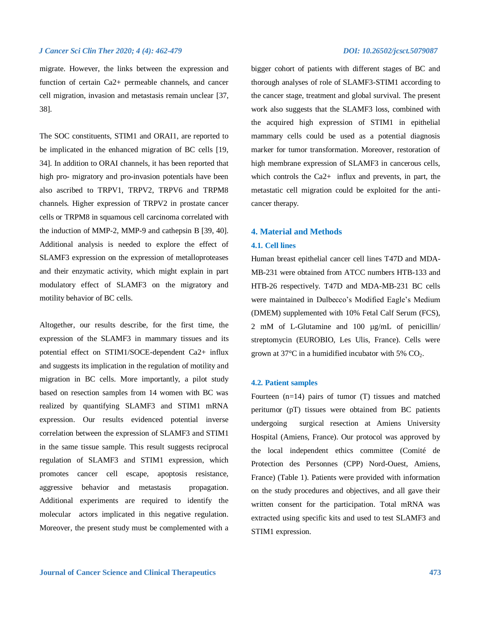migrate. However, the links between the expression and function of certain Ca2+ permeable channels, and cancer cell migration, invasion and metastasis remain unclear [37, 38].

The SOC constituents, STIM1 and ORAI1, are reported to be implicated in the enhanced migration of BC cells [19, 34]. In addition to ORAI channels, it has been reported that high pro- migratory and pro-invasion potentials have been also ascribed to TRPV1, TRPV2, TRPV6 and TRPM8 channels. Higher expression of TRPV2 in prostate cancer cells or TRPM8 in squamous cell carcinoma correlated with the induction of MMP-2, MMP-9 and cathepsin B [39, 40]. Additional analysis is needed to explore the effect of SLAMF3 expression on the expression of metalloproteases and their enzymatic activity, which might explain in part modulatory effect of SLAMF3 on the migratory and motility behavior of BC cells.

Altogether, our results describe, for the first time, the expression of the SLAMF3 in mammary tissues and its potential effect on STIM1/SOCE-dependent Ca2+ influx and suggests its implication in the regulation of motility and migration in BC cells. More importantly, a pilot study based on resection samples from 14 women with BC was realized by quantifying SLAMF3 and STIM1 mRNA expression. Our results evidenced potential inverse correlation between the expression of SLAMF3 and STIM1 in the same tissue sample. This result suggests reciprocal regulation of SLAMF3 and STIM1 expression, which promotes cancer cell escape, apoptosis resistance, aggressive behavior and metastasis propagation. Additional experiments are required to identify the molecular actors implicated in this negative regulation. Moreover, the present study must be complemented with a

bigger cohort of patients with different stages of BC and thorough analyses of role of SLAMF3-STIM1 according to the cancer stage, treatment and global survival. The present work also suggests that the SLAMF3 loss, combined with the acquired high expression of STIM1 in epithelial mammary cells could be used as a potential diagnosis marker for tumor transformation. Moreover, restoration of high membrane expression of SLAMF3 in cancerous cells, which controls the Ca2+ influx and prevents, in part, the metastatic cell migration could be exploited for the anticancer therapy.

### **4. Material and Methods**

### **4.1. Cell lines**

Human breast epithelial cancer cell lines T47D and MDA-MB-231 were obtained from ATCC numbers HTB-133 and HTB-26 respectively. T47D and MDA-MB-231 BC cells were maintained in Dulbecco's Modified Eagle's Medium (DMEM) supplemented with 10% Fetal Calf Serum (FCS), 2 mM of L-Glutamine and 100 µg/mL of penicillin/ streptomycin (EUROBIO, Les Ulis, France). Cells were grown at 37 $\degree$ C in a humidified incubator with 5% CO<sub>2</sub>.

#### **4.2. Patient samples**

Fourteen (n=14) pairs of tumor (T) tissues and matched peritumor (pT) tissues were obtained from BC patients undergoing surgical resection at Amiens University Hospital (Amiens, France). Our protocol was approved by the local independent ethics committee (Comité de Protection des Personnes (CPP) Nord-Ouest, Amiens, France) (Table 1). Patients were provided with information on the study procedures and objectives, and all gave their written consent for the participation. Total mRNA was extracted using specific kits and used to test SLAMF3 and STIM1 expression.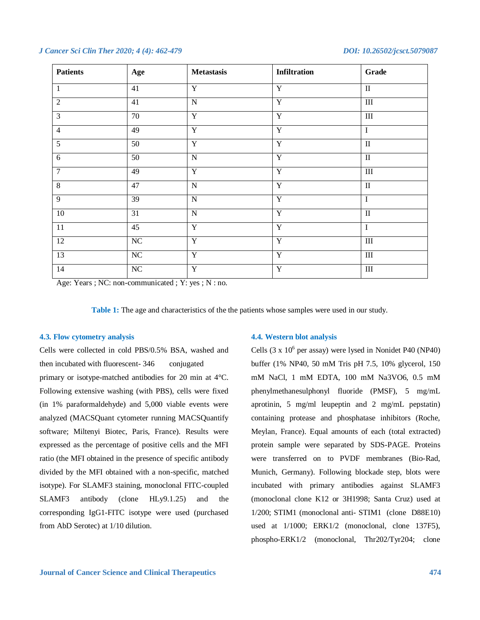| <b>Patients</b> | Age                    | <b>Metastasis</b> | <b>Infiltration</b> | Grade                   |
|-----------------|------------------------|-------------------|---------------------|-------------------------|
| $\mathbf{1}$    | 41                     | $\overline{Y}$    | $\mathbf Y$         | $\mathbf{I}$            |
| $\overline{2}$  | 41                     | $\overline{N}$    | $\overline{Y}$      | $\rm III$               |
| $\overline{3}$  | $\overline{70}$        | $\overline{Y}$    | $\overline{Y}$      | $\rm III$               |
| $\overline{4}$  | 49                     | $\overline{Y}$    | Y                   | $\mathbf I$             |
| 5               | 50                     | $\overline{Y}$    | $\overline{Y}$      | $\rm II$                |
| 6               | 50                     | $\mathbf N$       | $\overline{Y}$      | $\rm II$                |
| $\overline{7}$  | 49                     | $\overline{Y}$    | $\overline{Y}$      | $\rm III$               |
| $\overline{8}$  | 47                     | $\overline{N}$    | $\overline{Y}$      | $\overline{\mathbf{I}}$ |
| $\overline{9}$  | $\overline{39}$        | $\overline{N}$    | $\overline{Y}$      | $\mathbf I$             |
| $10\,$          | $\overline{31}$        | $\overline{N}$    | $\overline{Y}$      | $\mathbf{I}$            |
| $11\,$          | $\overline{45}$        | $\overline{Y}$    | $\overline{Y}$      | I                       |
| $\overline{12}$ | NC                     | $\overline{Y}$    | $\overline{Y}$      | $\overline{III}$        |
| 13              | $\rm NC$               | $\mathbf Y$       | $\mathbf Y$         | $\rm III$               |
| 14              | $\overline{\text{NC}}$ | $\overline{Y}$    | $\overline{Y}$      | $\rm III$               |

Age: Years ; NC: non-communicated ; Y: yes ; N : no.

**Table 1:** The age and characteristics of the the patients whose samples were used in our study.

#### **4.3. Flow cytometry analysis**

Cells were collected in cold PBS/0.5% BSA, washed and then incubated with fluorescent- 346 conjugated primary or isotype-matched antibodies for 20 min at 4°C. Following extensive washing (with PBS), cells were fixed (in 1% paraformaldehyde) and 5,000 viable events were analyzed (MACSQuant cytometer running MACSQuantify software; Miltenyi Biotec, Paris, France). Results were expressed as the percentage of positive cells and the MFI ratio (the MFI obtained in the presence of specific antibody divided by the MFI obtained with a non-specific, matched isotype). For SLAMF3 staining, monoclonal FITC-coupled SLAMF3 antibody (clone HLy9.1.25) and the corresponding IgG1-FITC isotype were used (purchased from AbD Serotec) at 1/10 dilution.

#### **4.4. Western blot analysis**

Cells  $(3 \times 10^6$  per assay) were lysed in Nonidet P40 (NP40) buffer (1% NP40, 50 mM Tris pH 7.5, 10% glycerol, 150 mM NaCl, 1 mM EDTA, 100 mM Na3VO6, 0.5 mM phenylmethanesulphonyl fluoride (PMSF), 5 mg/mL aprotinin, 5 mg/ml leupeptin and 2 mg/mL pepstatin) containing protease and phosphatase inhibitors (Roche, Meylan, France). Equal amounts of each (total extracted) protein sample were separated by SDS-PAGE. Proteins were transferred on to PVDF membranes (Bio-Rad, Munich, Germany). Following blockade step, blots were incubated with primary antibodies against SLAMF3 (monoclonal clone K12 or 3H1998; Santa Cruz) used at 1/200; STIM1 (monoclonal anti- STIM1 (clone D88E10) used at 1/1000; ERK1/2 (monoclonal, clone 137F5), phospho-ERK1/2 (monoclonal, Thr202/Tyr204; clone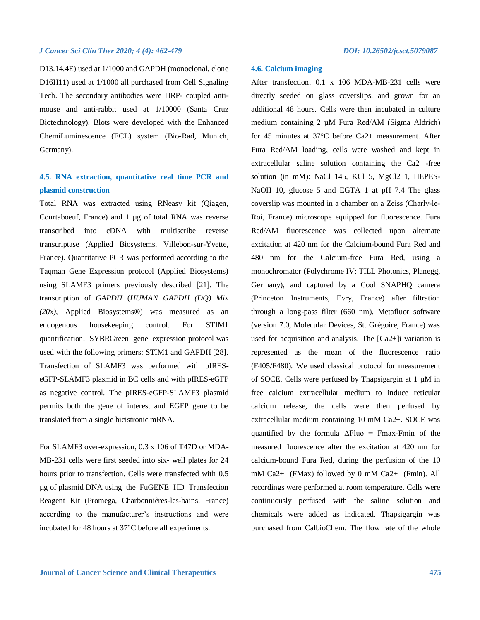D13.14.4E) used at 1/1000 and GAPDH (monoclonal, clone D16H11) used at 1/1000 all purchased from Cell Signaling Tech. The secondary antibodies were HRP- coupled antimouse and anti-rabbit used at 1/10000 (Santa Cruz Biotechnology). Blots were developed with the Enhanced ChemiLuminescence (ECL) system (Bio-Rad, Munich, Germany).

# **4.5. RNA extraction, quantitative real time PCR and plasmid construction**

Total RNA was extracted using RNeasy kit (Qiagen, Courtaboeuf, France) and 1 µg of total RNA was reverse transcribed into cDNA with multiscribe reverse transcriptase (Applied Biosystems, Villebon-sur-Yvette, France). Quantitative PCR was performed according to the Taqman Gene Expression protocol (Applied Biosystems) using SLAMF3 primers previously described [21]. The transcription of *GAPDH* (*HUMAN GAPDH (DQ) Mix (20x)*, Applied Biosystems®) was measured as an endogenous housekeeping control. For STIM1 quantification, SYBRGreen gene expression protocol was used with the following primers: STIM1 and GAPDH [28]. Transfection of SLAMF3 was performed with pIRESeGFP-SLAMF3 plasmid in BC cells and with pIRES-eGFP as negative control. The pIRES-eGFP-SLAMF3 plasmid permits both the gene of interest and EGFP gene to be translated from a single bicistronic mRNA.

For SLAMF3 over-expression, 0.3 x 106 of T47D or MDA-MB-231 cells were first seeded into six- well plates for 24 hours prior to transfection. Cells were transfected with 0.5 µg of plasmid DNA using the FuGENE HD Transfection Reagent Kit (Promega, Charbonnières-les-bains, France) according to the manufacturer's instructions and were incubated for 48 hours at 37°C before all experiments.

#### **4.6. Calcium imaging**

After transfection, 0.1 x 106 MDA-MB-231 cells were directly seeded on glass coverslips, and grown for an additional 48 hours. Cells were then incubated in culture medium containing 2 µM Fura Red/AM (Sigma Aldrich) for 45 minutes at 37°C before Ca2+ measurement. After Fura Red/AM loading, cells were washed and kept in extracellular saline solution containing the Ca2 -free solution (in mM): NaCl 145, KCl 5, MgCl2 1, HEPES-NaOH 10, glucose 5 and EGTA 1 at pH 7.4 The glass coverslip was mounted in a chamber on a Zeiss (Charly-le-Roi, France) microscope equipped for fluorescence. Fura Red/AM fluorescence was collected upon alternate excitation at 420 nm for the Calcium-bound Fura Red and 480 nm for the Calcium-free Fura Red, using a monochromator (Polychrome IV; TILL Photonics, Planegg, Germany), and captured by a Cool SNAPHQ camera (Princeton Instruments, Evry, France) after filtration through a long-pass filter (660 nm). Metafluor software (version 7.0, Molecular Devices, St. Grégoire, France) was used for acquisition and analysis. The [Ca2+]i variation is represented as the mean of the fluorescence ratio (F405/F480). We used classical protocol for measurement of SOCE. Cells were perfused by Thapsigargin at 1 µM in free calcium extracellular medium to induce reticular calcium release, the cells were then perfused by extracellular medium containing 10 mM Ca2+. SOCE was quantified by the formula  $\Delta$ Fluo = Fmax-Fmin of the measured fluorescence after the excitation at 420 nm for calcium-bound Fura Red, during the perfusion of the 10 mM Ca2+ (FMax) followed by 0 mM Ca2+ (Fmin). All recordings were performed at room temperature. Cells were continuously perfused with the saline solution and chemicals were added as indicated. Thapsigargin was purchased from CalbioChem. The flow rate of the whole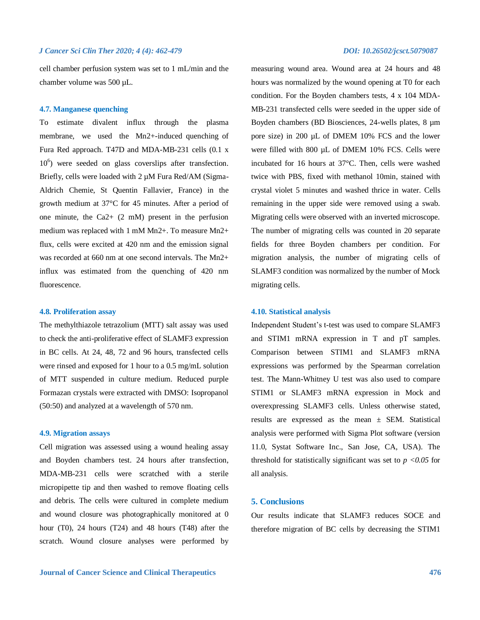cell chamber perfusion system was set to 1 mL/min and the chamber volume was 500 µL.

#### **4.7. Manganese quenching**

To estimate divalent influx through the plasma membrane, we used the Mn2+-induced quenching of Fura Red approach. T47D and MDA-MB-231 cells (0.1 x 10<sup>6</sup>) were seeded on glass coverslips after transfection. Briefly, cells were loaded with 2  $\mu$ M Fura Red/AM (Sigma-Aldrich Chemie, St Quentin Fallavier, France) in the growth medium at 37°C for 45 minutes. After a period of one minute, the  $Ca2+ (2 \text{ mM})$  present in the perfusion medium was replaced with 1 mM Mn2+. To measure Mn2+ flux, cells were excited at 420 nm and the emission signal was recorded at 660 nm at one second intervals. The Mn2+ influx was estimated from the quenching of 420 nm fluorescence.

#### **4.8. Proliferation assay**

The methylthiazole tetrazolium (MTT) salt assay was used to check the anti-proliferative effect of SLAMF3 expression in BC cells. At 24, 48, 72 and 96 hours, transfected cells were rinsed and exposed for 1 hour to a 0.5 mg/mL solution of MTT suspended in culture medium. Reduced purple Formazan crystals were extracted with DMSO: Isopropanol (50:50) and analyzed at a wavelength of 570 nm.

#### **4.9. Migration assays**

Cell migration was assessed using a wound healing assay and Boyden chambers test. 24 hours after transfection, MDA-MB-231 cells were scratched with a sterile micropipette tip and then washed to remove floating cells and debris. The cells were cultured in complete medium and wound closure was photographically monitored at 0 hour (T0), 24 hours (T24) and 48 hours (T48) after the scratch. Wound closure analyses were performed by

measuring wound area. Wound area at 24 hours and 48 hours was normalized by the wound opening at T0 for each condition. For the Boyden chambers tests, 4 x 104 MDA-MB-231 transfected cells were seeded in the upper side of Boyden chambers (BD Biosciences, 24-wells plates, 8  $\mu$ m pore size) in 200 µL of DMEM 10% FCS and the lower were filled with 800 µL of DMEM 10% FCS. Cells were incubated for 16 hours at 37°C. Then, cells were washed twice with PBS, fixed with methanol 10min, stained with crystal violet 5 minutes and washed thrice in water. Cells remaining in the upper side were removed using a swab. Migrating cells were observed with an inverted microscope. The number of migrating cells was counted in 20 separate fields for three Boyden chambers per condition. For migration analysis, the number of migrating cells of SLAMF3 condition was normalized by the number of Mock migrating cells.

#### **4.10. Statistical analysis**

Independent Student's t-test was used to compare SLAMF3 and STIM1 mRNA expression in T and pT samples. Comparison between STIM1 and SLAMF3 mRNA expressions was performed by the Spearman correlation test. The Mann-Whitney U test was also used to compare STIM1 or SLAMF3 mRNA expression in Mock and overexpressing SLAMF3 cells. Unless otherwise stated, results are expressed as the mean ± SEM. Statistical analysis were performed with Sigma Plot software (version 11.0, Systat Software Inc., San Jose, CA, USA). The threshold for statistically significant was set to  $p < 0.05$  for all analysis.

### **5. Conclusions**

Our results indicate that SLAMF3 reduces SOCE and therefore migration of BC cells by decreasing the STIM1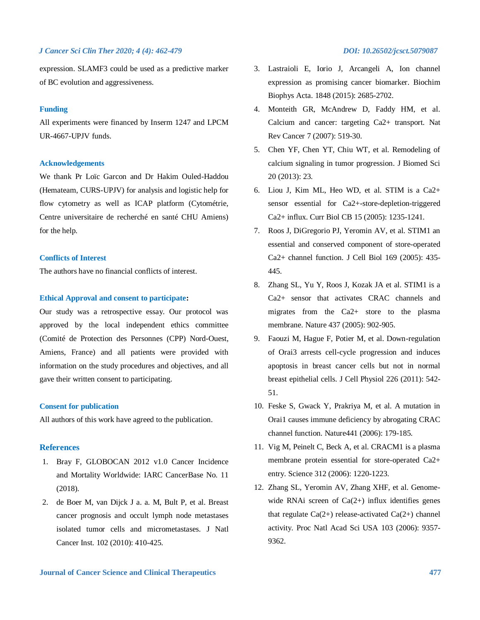expression. SLAMF3 could be used as a predictive marker of BC evolution and aggressiveness.

#### **Funding**

All experiments were financed by Inserm 1247 and LPCM UR-4667-UPJV funds.

#### **Acknowledgements**

We thank Pr Loïc Garcon and Dr Hakim Ouled-Haddou (Hemateam, CURS-UPJV) for analysis and logistic help for flow cytometry as well as ICAP platform (Cytométrie, Centre universitaire de recherché en santé CHU Amiens) for the help.

### **Conflicts of Interest**

The authors have no financial conflicts of interest.

#### **Ethical Approval and consent to participate:**

Our study was a retrospective essay. Our protocol was approved by the local independent ethics committee (Comité de Protection des Personnes (CPP) Nord-Ouest, Amiens, France) and all patients were provided with information on the study procedures and objectives, and all gave their written consent to participating.

#### **Consent for publication**

All authors of this work have agreed to the publication.

#### **References**

- 1. Bray F, GLOBOCAN 2012 v1.0 Cancer Incidence and Mortality Worldwide: IARC CancerBase No. 11 (2018).
- 2. de Boer M, van Dijck J a. a. M, Bult P, et al. Breast cancer prognosis and occult lymph node metastases isolated tumor cells and micrometastases. J Natl Cancer Inst. 102 (2010): 410-425.
- 3. Lastraioli E, Iorio J, Arcangeli A, Ion channel expression as promising cancer biomarker. Biochim Biophys Acta. 1848 (2015): 2685-2702.
- 4. Monteith GR, McAndrew D, Faddy HM, et al. Calcium and cancer: targeting Ca2+ transport. Nat Rev Cancer 7 (2007): 519-30.
- 5. Chen YF, Chen YT, Chiu WT, et al. Remodeling of calcium signaling in tumor progression. J Biomed Sci 20 (2013): 23.
- 6. Liou J, Kim ML, Heo WD, et al. STIM is a Ca2+ sensor essential for Ca2+-store-depletion-triggered Ca2+ influx. Curr Biol CB 15 (2005): 1235-1241.
- 7. Roos J, DiGregorio PJ, Yeromin AV, et al. STIM1 an essential and conserved component of store-operated Ca2+ channel function. J Cell Biol 169 (2005): 435- 445.
- 8. Zhang SL, Yu Y, Roos J, Kozak JA et al. STIM1 is a Ca2+ sensor that activates CRAC channels and migrates from the Ca2+ store to the plasma membrane. Nature 437 (2005): 902-905.
- 9. Faouzi M, Hague F, Potier M, et al. Down-regulation of Orai3 arrests cell-cycle progression and induces apoptosis in breast cancer cells but not in normal breast epithelial cells. J Cell Physiol 226 (2011): 542- 51.
- 10. Feske S, Gwack Y, Prakriya M, et al. A mutation in Orai1 causes immune deficiency by abrogating CRAC channel function. Nature441 (2006): 179-185.
- 11. Vig M, Peinelt C, Beck A, et al. CRACM1 is a plasma membrane protein essential for store-operated Ca2+ entry. Science 312 (2006): 1220-1223.
- 12. Zhang SL, Yeromin AV, Zhang XHF, et al. Genomewide RNAi screen of  $Ca(2+)$  influx identifies genes that regulate  $Ca(2+)$  release-activated  $Ca(2+)$  channel activity. Proc Natl Acad Sci USA 103 (2006): 9357- 9362.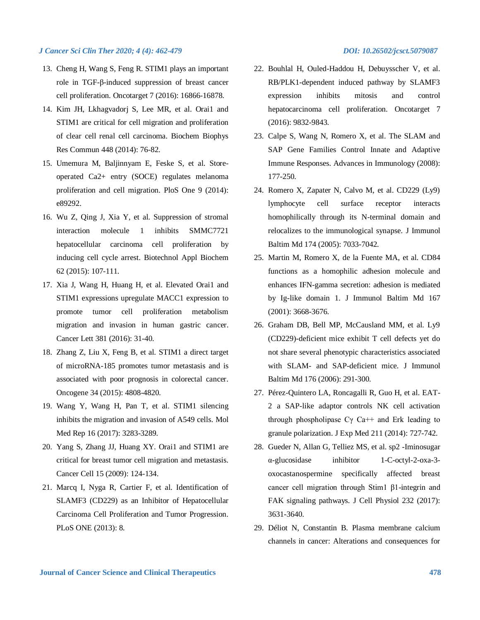- 13. Cheng H, Wang S, Feng R. STIM1 plays an important role in TGF-β-induced suppression of breast cancer cell proliferation. Oncotarget 7 (2016): 16866-16878.
- 14. Kim JH, Lkhagvadorj S, Lee MR, et al. Orai1 and STIM1 are critical for cell migration and proliferation of clear cell renal cell carcinoma. Biochem Biophys Res Commun 448 (2014): 76-82.
- 15. Umemura M, Baljinnyam E, Feske S, et al. Storeoperated Ca2+ entry (SOCE) regulates melanoma proliferation and cell migration. PloS One 9 (2014): e89292.
- 16. Wu Z, Qing J, Xia Y, et al. Suppression of stromal interaction molecule 1 inhibits SMMC7721 hepatocellular carcinoma cell proliferation by inducing cell cycle arrest. Biotechnol Appl Biochem 62 (2015): 107-111.
- 17. Xia J, Wang H, Huang H, et al. Elevated Orai1 and STIM1 expressions upregulate MACC1 expression to promote tumor cell proliferation metabolism migration and invasion in human gastric cancer. Cancer Lett 381 (2016): 31-40.
- 18. Zhang Z, Liu X, Feng B, et al. STIM1 a direct target of microRNA-185 promotes tumor metastasis and is associated with poor prognosis in colorectal cancer. Oncogene 34 (2015): 4808-4820.
- 19. Wang Y, Wang H, Pan T, et al. STIM1 silencing inhibits the migration and invasion of A549 cells. Mol Med Rep 16 (2017): 3283-3289.
- 20. Yang S, Zhang JJ, Huang XY. Orai1 and STIM1 are critical for breast tumor cell migration and metastasis. Cancer Cell 15 (2009): 124-134.
- 21. Marcq I, Nyga R, Cartier F, et al. Identification of SLAMF3 (CD229) as an Inhibitor of Hepatocellular Carcinoma Cell Proliferation and Tumor Progression. PLoS ONE (2013): 8.
- 22. Bouhlal H, Ouled-Haddou H, Debuysscher V, et al. RB/PLK1-dependent induced pathway by SLAMF3 expression inhibits mitosis and control hepatocarcinoma cell proliferation. Oncotarget 7 (2016): 9832-9843.
- 23. Calpe S, Wang N, Romero X, et al. The SLAM and SAP Gene Families Control Innate and Adaptive Immune Responses. Advances in Immunology (2008): 177-250.
- 24. Romero X, Zapater N, Calvo M, et al. CD229 (Ly9) lymphocyte cell surface receptor interacts homophilically through its N-terminal domain and relocalizes to the immunological synapse. J Immunol Baltim Md 174 (2005): 7033-7042.
- 25. Martin M, Romero X, de la Fuente MA, et al. CD84 functions as a homophilic adhesion molecule and enhances IFN-gamma secretion: adhesion is mediated by Ig-like domain 1. J Immunol Baltim Md 167 (2001): 3668-3676.
- 26. Graham DB, Bell MP, McCausland MM, et al. Ly9 (CD229)-deficient mice exhibit T cell defects yet do not share several phenotypic characteristics associated with SLAM- and SAP-deficient mice. J Immunol Baltim Md 176 (2006): 291-300.
- 27. Pérez-Quintero LA, Roncagalli R, Guo H, et al. EAT-2 a SAP-like adaptor controls NK cell activation through phospholipase  $C\gamma$  Ca<sup>++</sup> and Erk leading to granule polarization. J Exp Med 211 (2014): 727-742.
- 28. Gueder N, Allan G, Telliez MS, et al. sp2 -Iminosugar α-glucosidase inhibitor 1-C-octyl-2-oxa-3 oxocastanospermine specifically affected breast cancer cell migration through Stim1 β1-integrin and FAK signaling pathways. J Cell Physiol 232 (2017): 3631-3640.
- 29. Déliot N, Constantin B. Plasma membrane calcium channels in cancer: Alterations and consequences for